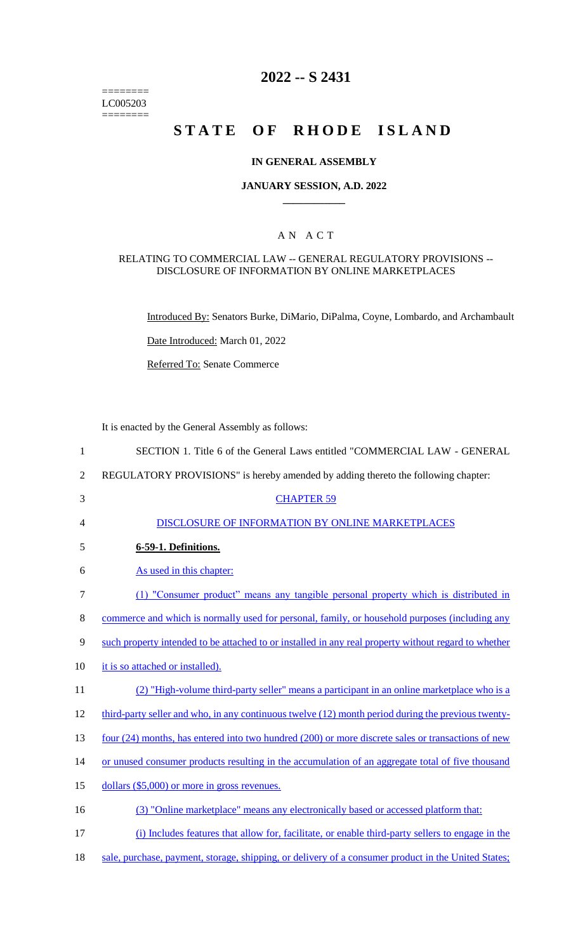======== LC005203 ========

## **2022 -- S 2431**

# **STATE OF RHODE ISLAND**

#### **IN GENERAL ASSEMBLY**

#### **JANUARY SESSION, A.D. 2022 \_\_\_\_\_\_\_\_\_\_\_\_**

## A N A C T

#### RELATING TO COMMERCIAL LAW -- GENERAL REGULATORY PROVISIONS -- DISCLOSURE OF INFORMATION BY ONLINE MARKETPLACES

Introduced By: Senators Burke, DiMario, DiPalma, Coyne, Lombardo, and Archambault

Date Introduced: March 01, 2022

Referred To: Senate Commerce

It is enacted by the General Assembly as follows:

| $\mathbf{1}$   | SECTION 1. Title 6 of the General Laws entitled "COMMERCIAL LAW - GENERAL                            |
|----------------|------------------------------------------------------------------------------------------------------|
| $\overline{2}$ | REGULATORY PROVISIONS" is hereby amended by adding thereto the following chapter:                    |
| 3              | <b>CHAPTER 59</b>                                                                                    |
| 4              | DISCLOSURE OF INFORMATION BY ONLINE MARKETPLACES                                                     |
| 5              | 6-59-1. Definitions.                                                                                 |
| 6              | As used in this chapter:                                                                             |
| 7              | (1) "Consumer product" means any tangible personal property which is distributed in                  |
| 8              | commerce and which is normally used for personal, family, or household purposes (including any       |
| 9              | such property intended to be attached to or installed in any real property without regard to whether |
| 10             | it is so attached or installed).                                                                     |
| 11             | (2) "High-volume third-party seller" means a participant in an online marketplace who is a           |
| 12             | third-party seller and who, in any continuous twelve (12) month period during the previous twenty-   |
| 13             | four (24) months, has entered into two hundred (200) or more discrete sales or transactions of new   |
| 14             | or unused consumer products resulting in the accumulation of an aggregate total of five thousand     |
| 15             | dollars (\$5,000) or more in gross revenues.                                                         |
| 16             | (3) "Online marketplace" means any electronically based or accessed platform that:                   |
| 17             | (i) Includes features that allow for, facilitate, or enable third-party sellers to engage in the     |

18 sale, purchase, payment, storage, shipping, or delivery of a consumer product in the United States;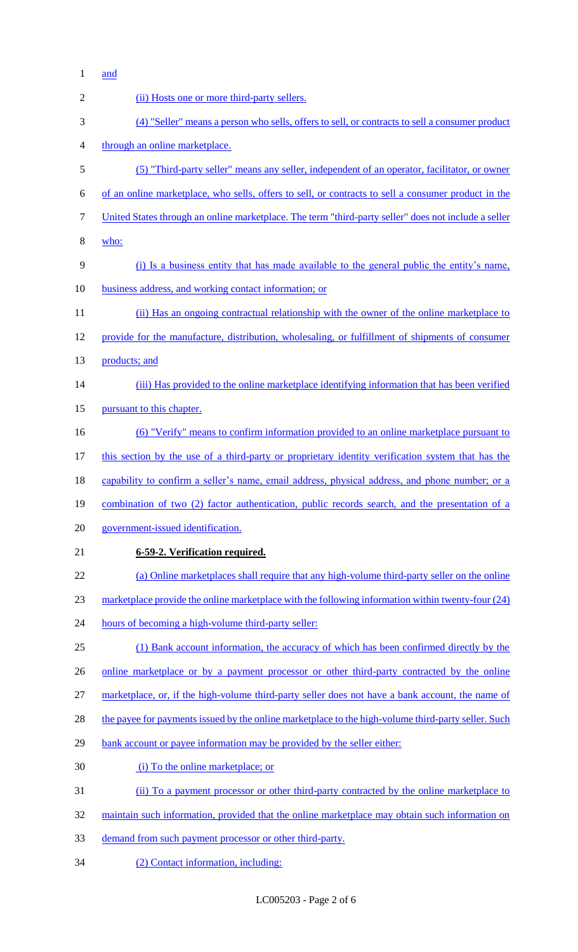and

| $\overline{2}$ | (ii) Hosts one or more third-party sellers.                                                          |
|----------------|------------------------------------------------------------------------------------------------------|
| 3              | (4) "Seller" means a person who sells, offers to sell, or contracts to sell a consumer product       |
| $\overline{4}$ | through an online marketplace.                                                                       |
| 5              | (5) "Third-party seller" means any seller, independent of an operator, facilitator, or owner         |
| 6              | of an online marketplace, who sells, offers to sell, or contracts to sell a consumer product in the  |
| $\tau$         | United States through an online marketplace. The term "third-party seller" does not include a seller |
| $8\,$          | who:                                                                                                 |
| 9              | (i) Is a business entity that has made available to the general public the entity's name,            |
| 10             | business address, and working contact information; or                                                |
| 11             | (ii) Has an ongoing contractual relationship with the owner of the online marketplace to             |
| 12             | provide for the manufacture, distribution, wholesaling, or fulfillment of shipments of consumer      |
| 13             | products; and                                                                                        |
| 14             | (iii) Has provided to the online marketplace identifying information that has been verified          |
| 15             | pursuant to this chapter.                                                                            |
| 16             | <u>(6) "Verify" means to confirm information provided to an online marketplace pursuant to</u>       |
| 17             | this section by the use of a third-party or proprietary identity verification system that has the    |
| 18             | capability to confirm a seller's name, email address, physical address, and phone number; or a       |
| 19             | combination of two (2) factor authentication, public records search, and the presentation of a       |
| 20             | government-issued identification.                                                                    |
| 21             | 6-59-2. Verification required.                                                                       |
| 22             | (a) Online marketplaces shall require that any high-volume third-party seller on the online          |
| 23             | marketplace provide the online marketplace with the following information within twenty-four (24)    |
| 24             | hours of becoming a high-volume third-party seller:                                                  |
| 25             | (1) Bank account information, the accuracy of which has been confirmed directly by the               |
| 26             | <u>online</u> marketplace or by a payment processor or other third-party contracted by the online    |
| 27             | marketplace, or, if the high-volume third-party seller does not have a bank account, the name of     |
| 28             | the payee for payments issued by the online marketplace to the high-volume third-party seller. Such  |
| 29             | bank account or payee information may be provided by the seller either:                              |
| 30             | (i) To the online marketplace; or                                                                    |
| 31             | (ii) To a payment processor or other third-party contracted by the online marketplace to             |
| 32             | maintain such information, provided that the online marketplace may obtain such information on       |
| 33             | demand from such payment processor or other third-party.                                             |
| 34             | (2) Contact information, including:                                                                  |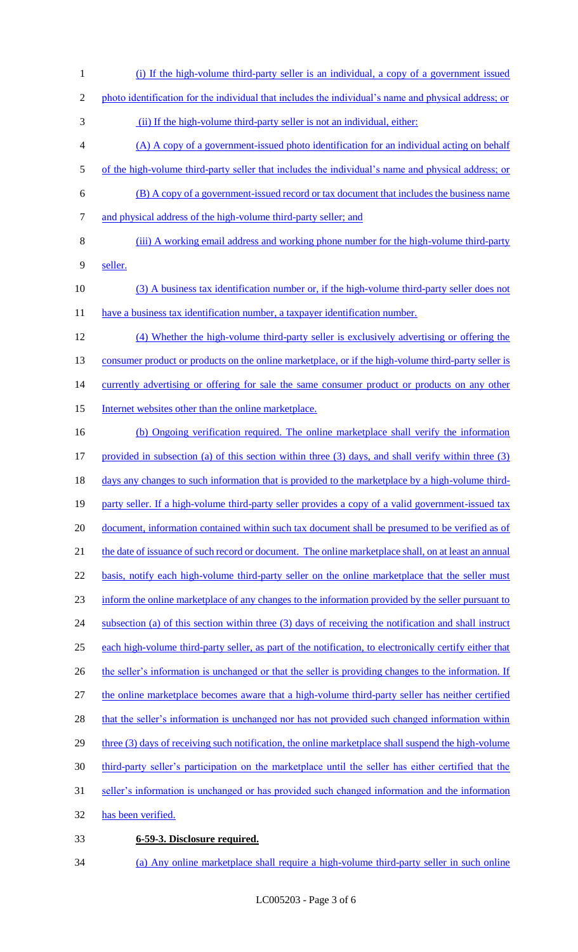- 1 (i) If the high-volume third-party seller is an individual, a copy of a government issued 2 photo identification for the individual that includes the individual's name and physical address; or 3 (ii) If the high-volume third-party seller is not an individual, either: 4 (A) A copy of a government-issued photo identification for an individual acting on behalf 5 of the high-volume third-party seller that includes the individual's name and physical address; or 6 (B) A copy of a government-issued record or tax document that includes the business name 7 and physical address of the high-volume third-party seller; and 8 (iii) A working email address and working phone number for the high-volume third-party 9 seller. 10 (3) A business tax identification number or, if the high-volume third-party seller does not 11 have a business tax identification number, a taxpayer identification number. 12 (4) Whether the high-volume third-party seller is exclusively advertising or offering the 13 consumer product or products on the online marketplace, or if the high-volume third-party seller is 14 currently advertising or offering for sale the same consumer product or products on any other 15 Internet websites other than the online marketplace. 16 (b) Ongoing verification required. The online marketplace shall verify the information 17 provided in subsection (a) of this section within three (3) days, and shall verify within three (3) 18 days any changes to such information that is provided to the marketplace by a high-volume third-19 party seller. If a high-volume third-party seller provides a copy of a valid government-issued tax 20 document, information contained within such tax document shall be presumed to be verified as of 21 the date of issuance of such record or document. The online marketplace shall, on at least an annual 22 basis, notify each high-volume third-party seller on the online marketplace that the seller must 23 inform the online marketplace of any changes to the information provided by the seller pursuant to 24 subsection (a) of this section within three (3) days of receiving the notification and shall instruct 25 each high-volume third-party seller, as part of the notification, to electronically certify either that 26 the seller's information is unchanged or that the seller is providing changes to the information. If 27 the online marketplace becomes aware that a high-volume third-party seller has neither certified 28 that the seller's information is unchanged nor has not provided such changed information within 29 three (3) days of receiving such notification, the online marketplace shall suspend the high-volume 30 third-party seller's participation on the marketplace until the seller has either certified that the 31 seller's information is unchanged or has provided such changed information and the information 32 has been verified. 33 **6-59-3. Disclosure required.**
- 34 (a) Any online marketplace shall require a high-volume third-party seller in such online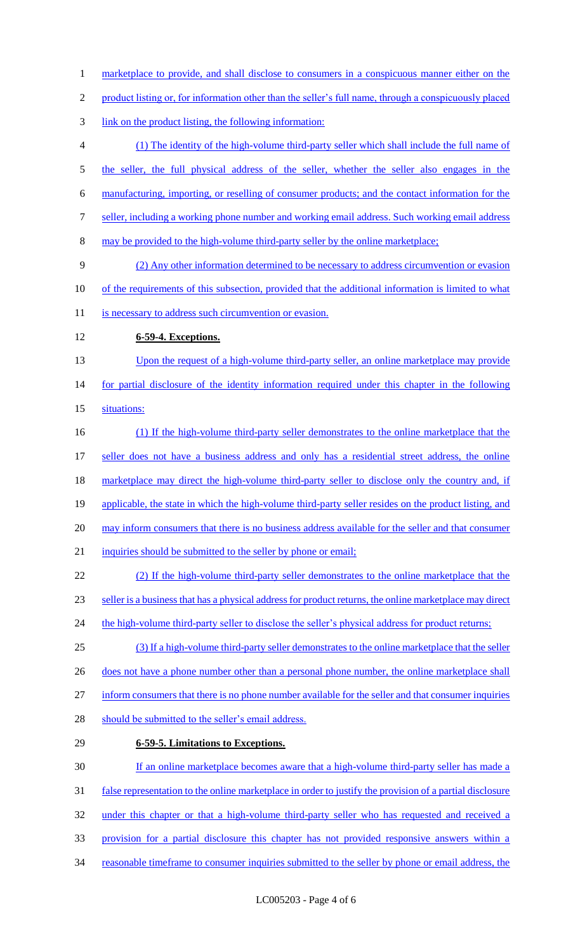1 marketplace to provide, and shall disclose to consumers in a conspicuous manner either on the product listing or, for information other than the seller's full name, through a conspicuously placed link on the product listing, the following information: (1) The identity of the high-volume third-party seller which shall include the full name of 5 the seller, the full physical address of the seller, whether the seller also engages in the manufacturing, importing, or reselling of consumer products; and the contact information for the seller, including a working phone number and working email address. Such working email address may be provided to the high-volume third-party seller by the online marketplace; (2) Any other information determined to be necessary to address circumvention or evasion of the requirements of this subsection, provided that the additional information is limited to what 11 is necessary to address such circumvention or evasion. **6-59-4. Exceptions.**  13 Upon the request of a high-volume third-party seller, an online marketplace may provide 14 for partial disclosure of the identity information required under this chapter in the following situations: (1) If the high-volume third-party seller demonstrates to the online marketplace that the 17 seller does not have a business address and only has a residential street address, the online marketplace may direct the high-volume third-party seller to disclose only the country and, if 19 applicable, the state in which the high-volume third-party seller resides on the product listing, and may inform consumers that there is no business address available for the seller and that consumer 21 inquiries should be submitted to the seller by phone or email; (2) If the high-volume third-party seller demonstrates to the online marketplace that the seller is a business that has a physical address for product returns, the online marketplace may direct 24 the high-volume third-party seller to disclose the seller's physical address for product returns; (3) If a high-volume third-party seller demonstrates to the online marketplace that the seller 26 does not have a phone number other than a personal phone number, the online marketplace shall inform consumers that there is no phone number available for the seller and that consumer inquiries 28 should be submitted to the seller's email address. **6-59-5. Limitations to Exceptions.**  If an online marketplace becomes aware that a high-volume third-party seller has made a false representation to the online marketplace in order to justify the provision of a partial disclosure under this chapter or that a high-volume third-party seller who has requested and received a provision for a partial disclosure this chapter has not provided responsive answers within a 34 reasonable timeframe to consumer inquiries submitted to the seller by phone or email address, the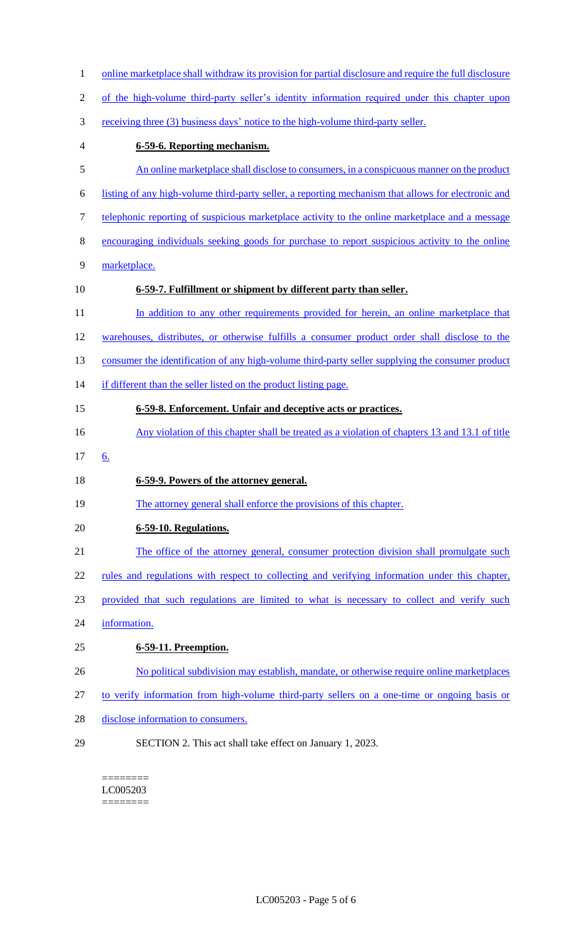| $\mathbf{1}$ | online marketplace shall withdraw its provision for partial disclosure and require the full disclosure |
|--------------|--------------------------------------------------------------------------------------------------------|
| 2            | of the high-volume third-party seller's identity information required under this chapter upon          |
| 3            | receiving three (3) business days' notice to the high-volume third-party seller.                       |
| 4            | 6-59-6. Reporting mechanism.                                                                           |
| 5            | An online marketplace shall disclose to consumers, in a conspicuous manner on the product              |
| 6            | listing of any high-volume third-party seller, a reporting mechanism that allows for electronic and    |
| 7            | telephonic reporting of suspicious marketplace activity to the online marketplace and a message        |
| 8            | encouraging individuals seeking goods for purchase to report suspicious activity to the online         |
| 9            | marketplace.                                                                                           |
| 10           | 6-59-7. Fulfillment or shipment by different party than seller.                                        |
| 11           | In addition to any other requirements provided for herein, an online marketplace that                  |
| 12           | warehouses, distributes, or otherwise fulfills a consumer product order shall disclose to the          |
| 13           | consumer the identification of any high-volume third-party seller supplying the consumer product       |
| 14           | if different than the seller listed on the product listing page.                                       |
| 15           | 6-59-8. Enforcement. Unfair and deceptive acts or practices.                                           |
| 16           | Any violation of this chapter shall be treated as a violation of chapters 13 and 13.1 of title         |
| 17           | <u>6.</u>                                                                                              |
| 18           | 6-59-9. Powers of the attorney general.                                                                |
| 19           | The attorney general shall enforce the provisions of this chapter.                                     |
| 20           | 6-59-10. Regulations.                                                                                  |
| 21           | The office of the attorney general, consumer protection division shall promulgate such                 |
| 22           | rules and regulations with respect to collecting and verifying information under this chapter,         |
| 23           | provided that such regulations are limited to what is necessary to collect and verify such             |
| 24           | information.                                                                                           |
| 25           | 6-59-11. Preemption.                                                                                   |
| 26           | No political subdivision may establish, mandate, or otherwise require online marketplaces              |
| 27           | to verify information from high-volume third-party sellers on a one-time or ongoing basis or           |
| 28           | disclose information to consumers.                                                                     |
| 29           | SECTION 2. This act shall take effect on January 1, 2023.                                              |

 $=$ LC005203 ========